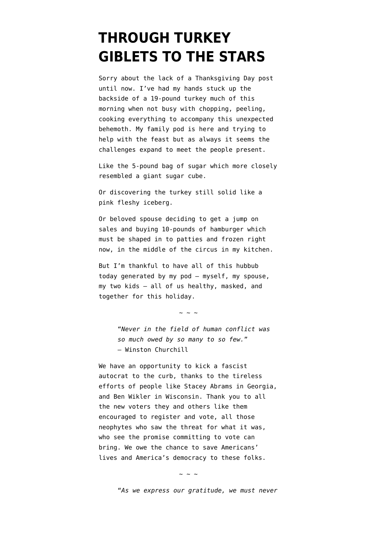## **[THROUGH TURKEY](https://www.emptywheel.net/2020/11/26/through-turkey-giblets-to-the-stars/) [GIBLETS TO THE STARS](https://www.emptywheel.net/2020/11/26/through-turkey-giblets-to-the-stars/)**

Sorry about the lack of a Thanksgiving Day post until now. I've had my hands stuck up the backside of a 19-pound turkey much of this morning when not busy with chopping, peeling, cooking everything to accompany this unexpected behemoth. My family pod is here and trying to help with the feast but as always it seems the challenges expand to meet the people present.

Like the 5-pound bag of sugar which more closely resembled a giant sugar cube.

Or discovering the turkey still solid like a pink fleshy iceberg.

Or beloved spouse deciding to get a jump on sales and buying 10-pounds of hamburger which must be shaped in to patties and frozen right now, in the middle of the circus in my kitchen.

But I'm thankful to have all of this hubbub today generated by my pod — myself, my spouse, my two kids — all of us healthy, masked, and together for this holiday.

 $\sim$  ~ ~

"*Never in the field of human conflict was so much owed by so many to so few.*" ― Winston Churchill

We have an opportunity to kick a fascist autocrat to the curb, thanks to the tireless efforts of people like Stacey Abrams in Georgia, and Ben Wikler in Wisconsin. Thank you to all the new voters they and others like them encouraged to register and vote, all those neophytes who saw the threat for what it was, who see the promise committing to vote can bring. We owe the chance to save Americans' lives and America's democracy to these folks.

 $\sim$  ~ ~

"*As we express our gratitude, we must never*